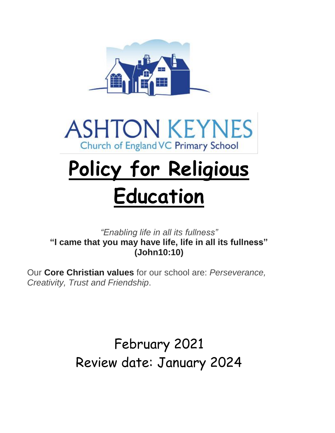



# **Policy for Religious Education**

*"Enabling life in all its fullness"* **"I came that you may have life, life in all its fullness" (John10:10)**

Our **Core Christian values** for our school are: *Perseverance, Creativity, Trust and Friendship*.

> February 2021 Review date: January 2024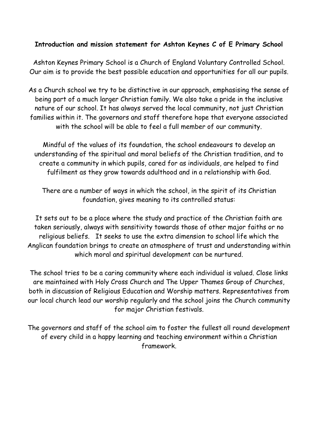#### **Introduction and mission statement for Ashton Keynes C of E Primary School**

Ashton Keynes Primary School is a Church of England Voluntary Controlled School. Our aim is to provide the best possible education and opportunities for all our pupils.

As a Church school we try to be distinctive in our approach, emphasising the sense of being part of a much larger Christian family. We also take a pride in the inclusive nature of our school. It has always served the local community, not just Christian families within it. The governors and staff therefore hope that everyone associated with the school will be able to feel a full member of our community.

Mindful of the values of its foundation, the school endeavours to develop an understanding of the spiritual and moral beliefs of the Christian tradition, and to create a community in which pupils, cared for as individuals, are helped to find fulfilment as they grow towards adulthood and in a relationship with God.

There are a number of ways in which the school, in the spirit of its Christian foundation, gives meaning to its controlled status:

It sets out to be a place where the study and practice of the Christian faith are taken seriously, always with sensitivity towards those of other major faiths or no religious beliefs. It seeks to use the extra dimension to school life which the Anglican foundation brings to create an atmosphere of trust and understanding within which moral and spiritual development can be nurtured.

The school tries to be a caring community where each individual is valued. Close links are maintained with Holy Cross Church and The Upper Thames Group of Churches, both in discussion of Religious Education and Worship matters. Representatives from our local church lead our worship regularly and the school joins the Church community for major Christian festivals.

The governors and staff of the school aim to foster the fullest all round development of every child in a happy learning and teaching environment within a Christian framework.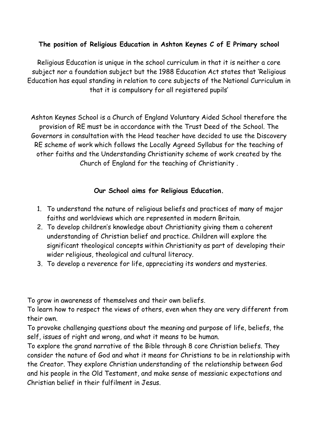#### **The position of Religious Education in Ashton Keynes C of E Primary school**

Religious Education is unique in the school curriculum in that it is neither a core subject nor a foundation subject but the 1988 Education Act states that 'Religious Education has equal standing in relation to core subjects of the National Curriculum in that it is compulsory for all registered pupils'

Ashton Keynes School is a Church of England Voluntary Aided School therefore the provision of RE must be in accordance with the Trust Deed of the School. The Governors in consultation with the Head teacher have decided to use the Discovery RE scheme of work which follows the Locally Agreed Syllabus for the teaching of other faiths and the Understanding Christianity scheme of work created by the Church of England for the teaching of Christianity .

#### **Our School aims for Religious Education.**

- 1. To understand the nature of religious beliefs and practices of many of major faiths and worldviews which are represented in modern Britain.
- 2. To develop children's knowledge about Christianity giving them a coherent understanding of Christian belief and practice. Children will explore the significant theological concepts within Christianity as part of developing their wider religious, theological and cultural literacy.
- 3. To develop a reverence for life, appreciating its wonders and mysteries.

To grow in awareness of themselves and their own beliefs.

To learn how to respect the views of others, even when they are very different from their own.

To provoke challenging questions about the meaning and purpose of life, beliefs, the self, issues of right and wrong, and what it means to be human.

To explore the grand narrative of the Bible through 8 core Christian beliefs. They consider the nature of God and what it means for Christians to be in relationship with the Creator. They explore Christian understanding of the relationship between God and his people in the Old Testament, and make sense of messianic expectations and Christian belief in their fulfilment in Jesus.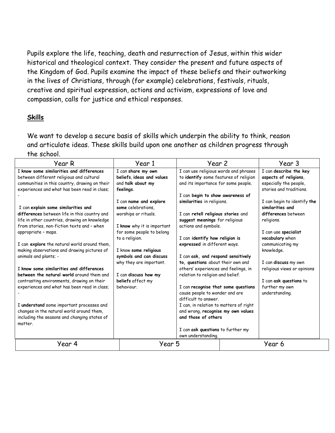Pupils explore the life, teaching, death and resurrection of Jesus, within this wider historical and theological context. They consider the present and future aspects of the Kingdom of God. Pupils examine the impact of these beliefs and their outworking in the lives of Christians, through (for example) celebrations, festivals, rituals, creative and spiritual expression, actions and activism, expressions of love and compassion, calls for justice and ethical responses.

#### **Skills**

We want to develop a secure basis of skills which underpin the ability to think, reason and articulate ideas. These skills build upon one another as children progress through the school.

| Year R                                                                                                                                                                                | Year 1                                                                            | Year 2                                                                                                                                                                                 |                                                                   | Year 3                                                                                               |
|---------------------------------------------------------------------------------------------------------------------------------------------------------------------------------------|-----------------------------------------------------------------------------------|----------------------------------------------------------------------------------------------------------------------------------------------------------------------------------------|-------------------------------------------------------------------|------------------------------------------------------------------------------------------------------|
| I know some similarities and differences<br>between different religious and cultural<br>communities in this country, drawing on their<br>experiences and what has been read in class; | I can share my own<br>beliefs, ideas and values<br>and talk about my<br>feelings. | I can use religious words and phrases<br>to identify some features of religion<br>and its importance for some people.                                                                  |                                                                   | I can describe the key<br>aspects of religions,<br>especially the people,<br>stories and traditions. |
| I can explain some similarities and<br>differences between life in this country and<br>life in other countries, drawing on knowledge                                                  | I can name and explore<br>some celebrations.<br>worships or rituals.              | I can begin to show awareness of<br>similarities in religions.<br>I can retell religious stories and<br>suggest meanings for religious                                                 |                                                                   | I can begin to identify the<br>similarities and<br>differences between<br>religions.                 |
| from stories, non-fiction texts and - when<br>appropriate - maps.<br>I can explore the natural world around them,                                                                     | I know why it is important<br>for some people to belong<br>to a religion.         | actions and symbols.<br>I can identify how religion is<br>expressed in different ways.                                                                                                 |                                                                   | I can use specialist<br>vocabulary when<br>communicating my                                          |
| making observations and drawing pictures of<br>animals and plants; -<br>I know some similarities and differences                                                                      | I know some religious<br>symbols and can discuss<br>why they are important.       | I can ask, and respond sensitively<br>to, questions about their own and<br>others' experiences and feelings, in                                                                        | knowledge.<br>I can discuss my own<br>religious views or opinions |                                                                                                      |
| between the natural world around them and<br>contrasting environments, drawing on their<br>experiences and what has been read in class;                                               | I can discuss how my<br>beliefs affect my<br>behaviour.                           | relation to religion and belief.<br>I can recognise that some questions<br>cause people to wonder and are                                                                              |                                                                   | I can ask questions to<br>further my own<br>understanding.                                           |
| I understand some important processes and<br>changes in the natural world around them,<br>including the seasons and changing states of<br>matter.                                     |                                                                                   | difficult to answer.<br>I can, in relation to matters of right<br>and wrong, recognise my own values<br>and those of others<br>I can ask questions to further my<br>own understanding. |                                                                   |                                                                                                      |
| Year 4                                                                                                                                                                                | Year 5                                                                            |                                                                                                                                                                                        | Year 6                                                            |                                                                                                      |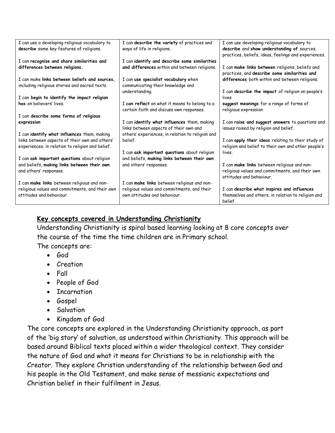| I can use a developing religious vocabulary to   | I can describe the variety of practices and      | I can use developing religious vocabulary to         |
|--------------------------------------------------|--------------------------------------------------|------------------------------------------------------|
| describe some key features of religions.         | ways of life in religions.                       | describe and show understanding of sources,          |
|                                                  |                                                  | practices, beliefs, ideas, feelings and experiences. |
| I can recognise and share similarities and       | I can identify and describe some similarities    |                                                      |
| differences between religions.                   | and differences within and between religions.    | I can make links between religions, beliefs and      |
|                                                  |                                                  | practices, and describe some similarities and        |
| I can make links between beliefs and sources.    | I can use specialist vocabulary when             | differences both within and between religions.       |
| including religious stories and sacred texts.    | communicating their knowledge and                |                                                      |
|                                                  | understanding.                                   | I can describe the impact of religion on people's    |
| I can begin to identify the impact religion      |                                                  | lives                                                |
|                                                  |                                                  |                                                      |
| has on believers' lives.                         | I can reflect on what it means to belong to a    | suggest meanings for a range of forms of             |
|                                                  | certain faith and discuss own responses.         | religious expression                                 |
| I can describe some forms of religious           |                                                  |                                                      |
| expression                                       | I can identify what influences them, making      | I can raise and suggest answers to questions and     |
|                                                  | links between aspects of their own and           | issues raised by religion and belief.                |
| I can identify what influences them, making      | others' experiences, in relation to religion and |                                                      |
| links between aspects of their own and others'   | belief.                                          | I can apply their ideas relating to their study of   |
| experiences, in relation to religion and belief. |                                                  | religion and belief to their own and other people's  |
|                                                  | I can ask important questions about religion     | lives.                                               |
| I can ask important questions about religion     | and beliefs, making links between their own      |                                                      |
| and beliefs, making links between their own      | and others' responses.                           | I can make links between religious and non-          |
| and others' responses.                           |                                                  | religious values and commitments, and their own      |
|                                                  |                                                  | attitudes and behaviour.                             |
| I can make links between religious and non-      | I can make links between religious and non-      |                                                      |
| religious values and commitments, and their own  | religious values and commitments, and their      | I can describe what inspires and influences          |
| attitudes and behaviour.                         | own attitudes and behaviour.                     |                                                      |
|                                                  |                                                  | themselves and others, in relation to religion and   |
|                                                  |                                                  | belief.                                              |

### **Key concepts covered in Understanding Christianity**

Understanding Christianity is spiral based learning looking at 8 core concepts over the course of the time the time children are in Primary school.

The concepts are:

- God
- Creation
- Fall
- People of God
- Incarnation
- Gospel
- Salvation
- Kingdom of God

The core concepts are explored in the Understanding Christianity approach, as part of the 'big story' of salvation, as understood within Christianity. This approach will be based around Biblical texts placed within a wider theological context. They consider the nature of God and what it means for Christians to be in relationship with the Creator. They explore Christian understanding of the relationship between God and his people in the Old Testament, and make sense of messianic expectations and Christian belief in their fulfilment in Jesus.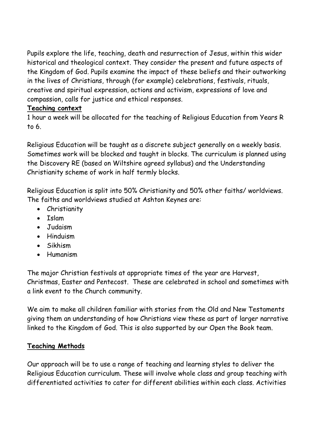Pupils explore the life, teaching, death and resurrection of Jesus, within this wider historical and theological context. They consider the present and future aspects of the Kingdom of God. Pupils examine the impact of these beliefs and their outworking in the lives of Christians, through (for example) celebrations, festivals, rituals, creative and spiritual expression, actions and activism, expressions of love and compassion, calls for justice and ethical responses.

#### **Teaching context**

1 hour a week will be allocated for the teaching of Religious Education from Years R to 6.

Religious Education will be taught as a discrete subject generally on a weekly basis. Sometimes work will be blocked and taught in blocks. The curriculum is planned using the Discovery RE (based on Wiltshire agreed syllabus) and the Understanding Christianity scheme of work in half termly blocks.

Religious Education is split into 50% Christianity and 50% other faiths/ worldviews. The faiths and worldviews studied at Ashton Keynes are:

- Christianity
- $\bullet$  Tslam
- Judaism
- Hinduism
- Sikhism
- **•** Humanism

The major Christian festivals at appropriate times of the year are Harvest, Christmas, Easter and Pentecost. These are celebrated in school and sometimes with a link event to the Church community.

We aim to make all children familiar with stories from the Old and New Testaments giving them an understanding of how Christians view these as part of larger narrative linked to the Kingdom of God. This is also supported by our Open the Book team.

## **Teaching Methods**

Our approach will be to use a range of teaching and learning styles to deliver the Religious Education curriculum. These will involve whole class and group teaching with differentiated activities to cater for different abilities within each class. Activities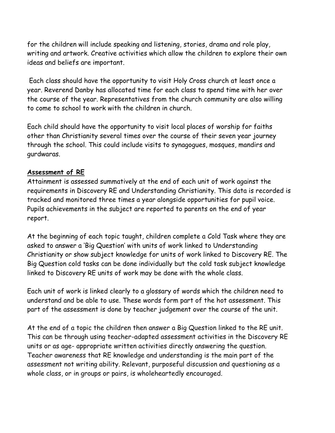for the children will include speaking and listening, stories, drama and role play, writing and artwork. Creative activities which allow the children to explore their own ideas and beliefs are important.

Each class should have the opportunity to visit Holy Cross church at least once a year. Reverend Danby has allocated time for each class to spend time with her over the course of the year. Representatives from the church community are also willing to come to school to work with the children in church.

Each child should have the opportunity to visit local places of worship for faiths other than Christianity several times over the course of their seven year journey through the school. This could include visits to synagogues, mosques, mandirs and gurdwaras.

#### **Assessment of RE**

Attainment is assessed summatively at the end of each unit of work against the requirements in Discovery RE and Understanding Christianity. This data is recorded is tracked and monitored three times a year alongside opportunities for pupil voice. Pupils achievements in the subject are reported to parents on the end of year report.

At the beginning of each topic taught, children complete a Cold Task where they are asked to answer a 'Big Question' with units of work linked to Understanding Christianity or show subject knowledge for units of work linked to Discovery RE. The Big Question cold tasks can be done individually but the cold task subject knowledge linked to Discovery RE units of work may be done with the whole class.

Each unit of work is linked clearly to a glossary of words which the children need to understand and be able to use. These words form part of the hot assessment. This part of the assessment is done by teacher judgement over the course of the unit.

At the end of a topic the children then answer a Big Question linked to the RE unit. This can be through using teacher-adapted assessment activities in the Discovery RE units or as age- appropriate written activities directly answering the question. Teacher awareness that RE knowledge and understanding is the main part of the assessment not writing ability. Relevant, purposeful discussion and questioning as a whole class, or in groups or pairs, is wholeheartedly encouraged.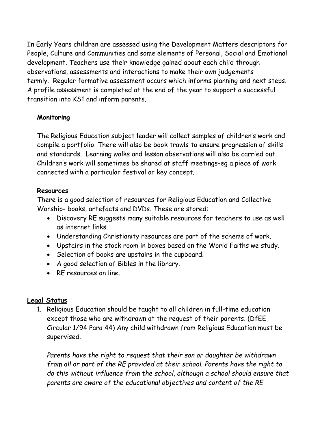In Early Years children are assessed using the Development Matters descriptors for People, Culture and Communities and some elements of Personal, Social and Emotional development. Teachers use their knowledge gained about each child through observations, assessments and interactions to make their own judgements termly. Regular formative assessment occurs which informs planning and next steps. A profile assessment is completed at the end of the year to support a successful transition into KS1 and inform parents.

#### **Monitoring**

The Religious Education subject leader will collect samples of children's work and compile a portfolio. There will also be book trawls to ensure progression of skills and standards. Learning walks and lesson observations will also be carried out. Children's work will sometimes be shared at staff meetings-eg a piece of work connected with a particular festival or key concept.

#### **Resources**

There is a good selection of resources for Religious Education and Collective Worship- books, artefacts and DVDs. These are stored:

- Discovery RE suggests many suitable resources for teachers to use as well as internet links.
- Understanding Christianity resources are part of the scheme of work.
- Upstairs in the stock room in boxes based on the World Faiths we study.
- Selection of books are upstairs in the cupboard.
- A good selection of Bibles in the library.
- RF resources on line.

### **Legal Status**

1. Religious Education should be taught to all children in full-time education except those who are withdrawn at the request of their parents. (DfEE Circular 1/94 Para 44) Any child withdrawn from Religious Education must be supervised.

*Parents have the right to request that their son or daughter be withdrawn from all or part of the RE provided at their school. Parents have the right to do this without influence from the school, although a school should ensure that parents are aware of the educational objectives and content of the RE*